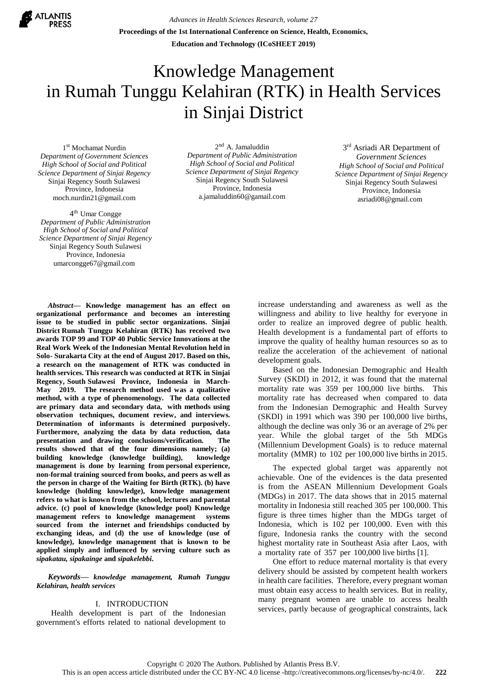**ATLANTIS** 

*Advances in Health Sciences Research, volume 27* **Proceedings of the 1st International Conference on Science, Health, Economics, Education and Technology (ICoSHEET 2019)**

# Knowledge Management in Rumah Tunggu Kelahiran (RTK) in Health Services in Sinjai District

1 st Mochamat Nurdin *Department of Government Sciences High School of Social and Political Science Department of Sinjai Regency* Sinjai Regency South Sulawesi Province, Indonesia [moch.nurdin21@gmail.com](mailto:moch.nurdin21@gmail.com)

4 th Umar Congge *Department of Public Administration High School of Social and Political Science Department of Sinjai Regency* Sinjai Regency South Sulawesi Province, Indonesia [umarcongge67@gmail.com](mailto:umarcongge67@gmail.com)

*Abstract***— Knowledge management has an effect on organizational performance and becomes an interesting issue to be studied in public sector organizations. Sinjai District Rumah Tunggu Kelahiran (RTK) has received two awards TOP 99 and TOP 40 Public Service Innovations at the Real Work Week of the Indonesian Mental Revolution held in Solo- Surakarta City at the end of August 2017. Based on this, a research on the management of RTK was conducted in health services. This research was conducted at RTK in Sinjai Regency, South Sulawesi Province, Indonesia in March-May 2019. The research method used was a qualitative method, with a type of phenomenology. The data collected are primary data and secondary data, with methods using observation techniques, document review, and interviews. Determination of informants is determined purposively. Furthermore, analyzing the data by data reduction, data presentation and drawing conclusions/verification. The results showed that of the four dimensions namely; (a) building knowledge (knowledge building), knowledge management is done by learning from personal experience, non-formal training sourced from books, and peers as well as the person in charge of the Waiting for Birth (RTK). (b) have knowledge (holding knowledge), knowledge management refers to what is known from the school, lectures and parental advice. (c) pool of knowledge (knowledge pool) Knowledge management refers to knowledge management systems sourced from the internet and friendships conducted by exchanging ideas, and (d) the use of knowledge (use of knowledge), knowledge management that is known to be applied simply and influenced by serving culture such as** *sipakatau, sipakainge* **and** *sipakelebbi***.**

## *Keywords— knowledge management, Rumah Tunggu Kelahiran, health services*

# I. INTRODUCTION

Health development is part of the Indonesian government's efforts related to national development to

2<sup>nd</sup> A. Jamaluddin *Department of Public Administration High School of Social and Political Science Department of Sinjai Regency* Sinjai Regency South Sulawesi Province, Indonesia [a.jamaluddin60@gamail.com](mailto:a.jamaluddin60@gamail.com)

3 rd Asriadi AR Department of *Government Sciences High School of Social and Political Science Department of Sinjai Regency* Sinjai Regency South Sulawesi Province, Indonesia [asriadi08@gmail.com](mailto:asriadi08@gmail.com)

increase understanding and awareness as well as the willingness and ability to live healthy for everyone in order to realize an improved degree of public health. Health development is a fundamental part of efforts to improve the quality of healthy human resources so as to realize the acceleration of the achievement of national development goals.

Based on the Indonesian Demographic and Health Survey (SKDI) in 2012, it was found that the maternal mortality rate was 359 per 100,000 live births. This mortality rate has decreased when compared to data from the Indonesian Demographic and Health Survey (SKDI) in 1991 which was 390 per 100,000 live births, although the decline was only 36 or an average of 2% per year. While the global target of the 5th MDGs (Millennium Development Goals) is to reduce maternal mortality (MMR) to 102 per 100,000 live births in 2015.

The expected global target was apparently not achievable. One of the evidences is the data presented is from the ASEAN Millennium Development Goals (MDGs) in 2017. The data shows that in 2015 maternal mortality in Indonesia still reached 305 per 100,000. This figure is three times higher than the MDGs target of Indonesia, which is 102 per 100,000. Even with this figure, Indonesia ranks the country with the second highest mortality rate in Southeast Asia after Laos, with a mortality rate of 357 per 100,000 live births [1].

One effort to reduce maternal mortality is that every delivery should be assisted by competent health workers in health care facilities. Therefore, every pregnant woman must obtain easy access to health services. But in reality, many pregnant women are unable to access health services, partly because of geographical constraints, lack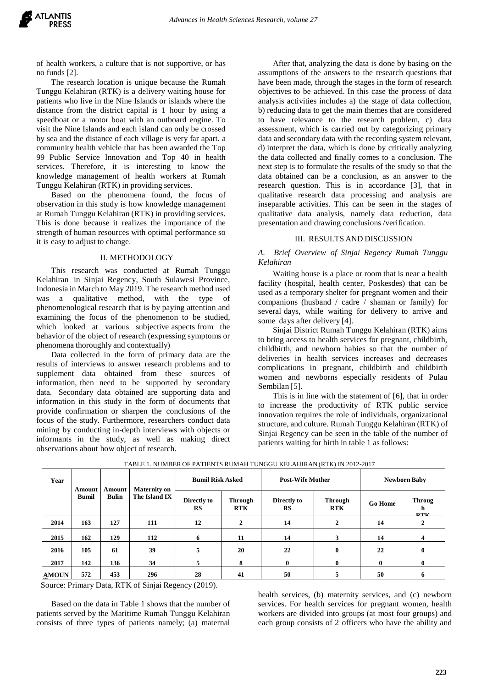

of health workers, a culture that is not supportive, or has no funds [2].

The research location is unique because the Rumah Tunggu Kelahiran (RTK) is a delivery waiting house for patients who live in the Nine Islands or islands where the distance from the district capital is 1 hour by using a speedboat or a motor boat with an outboard engine. To visit the Nine Islands and each island can only be crossed by sea and the distance of each village is very far apart. a community health vehicle that has been awarded the Top 99 Public Service Innovation and Top 40 in health services. Therefore, it is interesting to know the knowledge management of health workers at Rumah Tunggu Kelahiran (RTK) in providing services.

Based on the phenomena found, the focus of observation in this study is how knowledge management at Rumah Tunggu Kelahiran (RTK) in providing services. This is done because it realizes the importance of the strength of human resources with optimal performance so it is easy to adjust to change.

### II. METHODOLOGY

This research was conducted at Rumah Tunggu Kelahiran in Sinjai Regency, South Sulawesi Province, Indonesia in March to May 2019. The research method used was a qualitative method, with the type of phenomenological research that is by paying attention and examining the focus of the phenomenon to be studied, which looked at various subjective aspects from the behavior of the object of research (expressing symptoms or phenomena thoroughly and contextually)

Data collected in the form of primary data are the results of interviews to answer research problems and to supplement data obtained from these sources of information, then need to be supported by secondary data. Secondary data obtained are supporting data and information in this study in the form of documents that provide confirmation or sharpen the conclusions of the focus of the study. Furthermore, researchers conduct data mining by conducting in-depth interviews with objects or informants in the study, as well as making direct observations about how object of research.

After that, analyzing the data is done by basing on the assumptions of the answers to the research questions that have been made, through the stages in the form of research objectives to be achieved. In this case the process of data analysis activities includes a) the stage of data collection, b) reducing data to get the main themes that are considered to have relevance to the research problem, c) data assessment, which is carried out by categorizing primary data and secondary data with the recording system relevant, d) interpret the data, which is done by critically analyzing the data collected and finally comes to a conclusion. The next step is to formulate the results of the study so that the data obtained can be a conclusion, as an answer to the research question. This is in accordance [3], that in qualitative research data processing and analysis are inseparable activities. This can be seen in the stages of qualitative data analysis, namely data reduction, data presentation and drawing conclusions /verification.

## III. RESULTS AND DISCUSSION

## *A. Brief Overview of Sinjai Regency Rumah Tunggu Kelahiran*

Waiting house is a place or room that is near a health facility (hospital, health center, Poskesdes) that can be used as a temporary shelter for pregnant women and their companions (husband / cadre / shaman or family) for several days, while waiting for delivery to arrive and some days after delivery [4].

Sinjai District Rumah Tunggu Kelahiran (RTK) aims to bring access to health services for pregnant, childbirth, childbirth, and newborn babies so that the number of deliveries in health services increases and decreases complications in pregnant, childbirth and childbirth women and newborns especially residents of Pulau Sembilan [5].

This is in line with the statement of [6], that in order to increase the productivity of RTK public service innovation requires the role of individuals, organizational structure, and culture. Rumah Tunggu Kelahiran (RTK) of Sinjai Regency can be seen in the table of the number of patients waiting for birth in table 1 as follows:

| Year         | Amount<br><b>Bumil</b> | Amount<br><b>Bulin</b> | <b>Maternity on</b><br>The Island IX | <b>Bumil Risk Asked</b>  |                       | <b>Post-Wife Mother</b>  |                       | <b>Newborn Baby</b> |                    |
|--------------|------------------------|------------------------|--------------------------------------|--------------------------|-----------------------|--------------------------|-----------------------|---------------------|--------------------|
|              |                        |                        |                                      | Directly to<br><b>RS</b> | Through<br><b>RTK</b> | Directly to<br><b>RS</b> | Through<br><b>RTK</b> | <b>Go Home</b>      | Throug<br>h<br>DTL |
| 2014         | 163                    | 127                    | 111                                  | 12                       | $\mathbf{2}$          | 14                       | $\mathbf{2}$          | 14                  | $\mathbf{2}$       |
| 2015         | 162                    | 129                    | 112                                  | 6                        | 11                    | 14                       | 3                     | 14                  | 4                  |
| 2016         | 105                    | 61                     | 39                                   | 5                        | 20                    | 22                       | 0                     | 22                  | 0                  |
| 2017         | 142                    | 136                    | 34                                   | 5                        | 8                     | $\mathbf{0}$             | $\mathbf{0}$          | $\mathbf{0}$        | $\mathbf{0}$       |
| <b>AMOUN</b> | 572                    | 453                    | 296                                  | 28                       | 41                    | 50                       | 5                     | 50                  | n                  |

TABLE 1. NUMBER OF PATIENTS RUMAH TUNGGU KELAHIRAN (RTK) IN 2012-2017

**T** Source: Primary Data, RTK of Sinjai Regency (2019).

Based on the data in Table 1 shows that the number of patients served by the Maritime Rumah Tunggu Kelahiran consists of three types of patients namely; (a) maternal health services, (b) maternity services, and (c) newborn services. For health services for pregnant women, health workers are divided into groups (at most four groups) and each group consists of 2 officers who have the ability and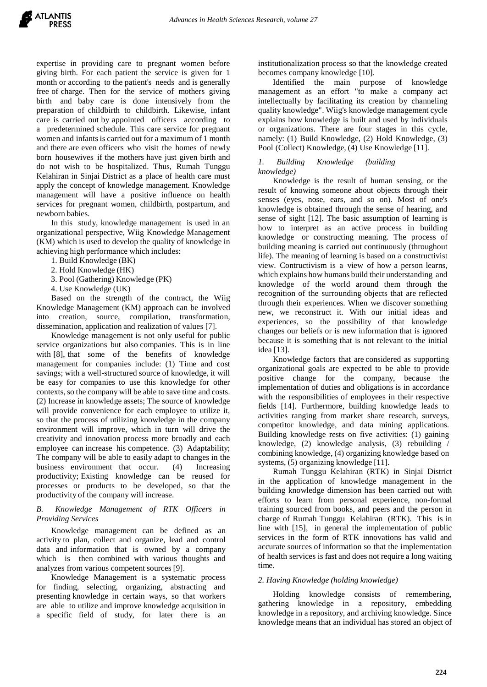expertise in providing care to pregnant women before giving birth. For each patient the service is given for 1 month or according to the patient's needs and is generally free of charge. Then for the service of mothers giving birth and baby care is done intensively from the preparation of childbirth to childbirth. Likewise, infant care is carried out by appointed officers according to a predetermined schedule. This care service for pregnant women and infants is carried out for a maximum of 1 month and there are even officers who visit the homes of newly born housewives if the mothers have just given birth and do not wish to be hospitalized. Thus, Rumah Tunggu Kelahiran in Sinjai District as a place of health care must apply the concept of knowledge management. Knowledge management will have a positive influence on health services for pregnant women, childbirth, postpartum, and newborn babies.

In this study, knowledge management is used in an organizational perspective, Wiig Knowledge Management (KM) which is used to develop the quality of knowledge in achieving high performance which includes:

- 1. Build Knowledge (BK)
- 2. Hold Knowledge (HK)
- 3. Pool (Gathering) Knowledge (PK)
- 4. Use Knowledge (UK)

Based on the strength of the contract, the Wiig Knowledge Management (KM) approach can be involved into creation, source, compilation, transformation, dissemination, application and realization of values [7].

Knowledge management is not only useful for public service organizations but also companies. This is in line with [8], that some of the benefits of knowledge management for companies include: (1) Time and cost savings; with a well-structured source of knowledge, it will be easy for companies to use this knowledge for other contexts, so the company will be able to save time and costs. (2) Increase in knowledge assets; The source of knowledge will provide convenience for each employee to utilize it, so that the process of utilizing knowledge in the company environment will improve, which in turn will drive the creativity and innovation process more broadly and each employee can increase his competence. (3) Adaptability; The company will be able to easily adapt to changes in the business environment that occur. (4) Increasing productivity; Existing knowledge can be reused for processes or products to be developed, so that the productivity of the company will increase.

# *B. Knowledge Management of RTK Officers in Providing Services*

Knowledge management can be defined as an activity to plan, collect and organize, lead and control data and information that is owned by a company which is then combined with various thoughts and analyzes from various competent sources [9].

Knowledge Management is a systematic process for finding, selecting, organizing, abstracting and presenting knowledge in certain ways, so that workers are able to utilize and improve knowledge acquisition in a specific field of study, for later there is an

institutionalization process so that the knowledge created becomes company knowledge [10].

Identified the main purpose of knowledge management as an effort "to make a company act intellectually by facilitating its creation by channeling quality knowledge". Wiig's knowledge management cycle explains how knowledge is built and used by individuals or organizations. There are four stages in this cycle, namely: (1) Build Knowledge, (2) Hold Knowledge, (3) Pool (Collect) Knowledge, (4) Use Knowledge [11].

## *1. Building Knowledge (building knowledge)*

Knowledge is the result of human sensing, or the result of knowing someone about objects through their senses (eyes, nose, ears, and so on). Most of one's knowledge is obtained through the sense of hearing, and sense of sight [12]. The basic assumption of learning is how to interpret as an active process in building knowledge or constructing meaning. The process of building meaning is carried out continuously (throughout life). The meaning of learning is based on a constructivist view. Contructivism is a view of how a person learns, which explains how humans build their understanding and knowledge of the world around them through the recognition of the surrounding objects that are reflected through their experiences. When we discover something new, we reconstruct it. With our initial ideas and experiences, so the possibility of that knowledge changes our beliefs or is new information that is ignored because it is something that is not relevant to the initial idea [13].

Knowledge factors that are considered as supporting organizational goals are expected to be able to provide positive change for the company, because the implementation of duties and obligations is in accordance with the responsibilities of employees in their respective fields [14]. Furthermore, building knowledge leads to activities ranging from market share research, surveys, competitor knowledge, and data mining applications. Building knowledge rests on five activities: (1) gaining knowledge, (2) knowledge analysis, (3) rebuilding / combining knowledge, (4) organizing knowledge based on systems, (5) organizing knowledge [11].

Rumah Tunggu Kelahiran (RTK) in Sinjai District in the application of knowledge management in the building knowledge dimension has been carried out with efforts to learn from personal experience, non-formal training sourced from books, and peers and the person in charge of Rumah Tunggu Kelahiran (RTK). This is in line with [15], in general the implementation of public services in the form of RTK innovations has valid and accurate sources of information so that the implementation of health services is fast and does not require a long waiting time.

# *2. Having Knowledge (holding knowledge)*

Holding knowledge consists of remembering, gathering knowledge in a repository, embedding knowledge in a repository, and archiving knowledge. Since knowledge means that an individual has stored an object of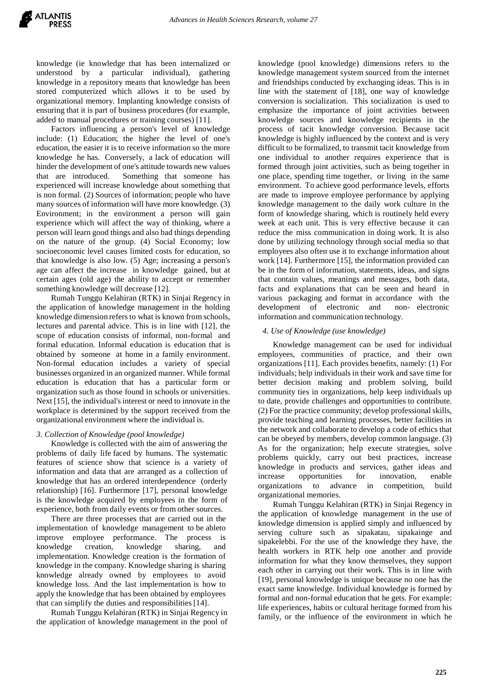knowledge (ie knowledge that has been internalized or understood by a particular individual), gathering knowledge in a repository means that knowledge has been stored computerized which allows it to be used by organizational memory. Implanting knowledge consists of ensuring that it is part of business procedures (for example, added to manual procedures or training courses) [11].

Factors influencing a person's level of knowledge include: (1) Education; the higher the level of one's education, the easier it is to receive information so the more knowledge he has. Conversely, a lack of education will hinder the development of one's attitude towards new values that are introduced. Something that someone has experienced will increase knowledge about something that is non formal. (2) Sources of information; people who have many sources of information will have more knowledge. (3) Environment; in the environment a person will gain experience which will affect the way of thinking, where a person will learn good things and also bad things depending on the nature of the group. (4) Social Economy; low socioeconomic level causes limited costs for education, so that knowledge is also low. (5) Age; increasing a person's age can affect the increase in knowledge gained, but at certain ages (old age) the ability to accept or remember something knowledge will decrease [12].

Rumah Tunggu Kelahiran (RTK) in Sinjai Regency in the application of knowledge management in the holding knowledge dimension refers to what is known from schools, lectures and parental advice. This is in line with [12], the scope of education consists of informal, non-formal and formal education. Informal education is education that is obtained by someone at home in a family environment. Non-formal education includes a variety of special businesses organized in an organized manner. While formal education is education that has a particular form or organization such as those found in schools or universities. Next [15], the individual's interest or need to innovate in the workplace is determined by the support received from the organizational environment where the individual is.

# *3. Collection of Knowledge (pool knowledge)*

Knowledge is collected with the aim of answering the problems of daily life faced by humans. The systematic features of science show that science is a variety of information and data that are arranged as a collection of knowledge that has an ordered interdependence (orderly relationship) [16]. Furthermore [17], personal knowledge is the knowledge acquired by employees in the form of experience, both from daily events or from other sources.

There are three processes that are carried out in the implementation of knowledge management to be ableto improve employee performance. The process is knowledge creation, knowledge sharing, and implementation. Knowledge creation is the formation of knowledge in the company. Knowledge sharing is sharing knowledge already owned by employees to avoid knowledge loss. And the last implementation is how to apply the knowledge that has been obtained by employees that can simplify the duties and responsibilities[14].

Rumah Tunggu Kelahiran (RTK) in Sinjai Regency in the application of knowledge management in the pool of knowledge (pool knowledge) dimensions refers to the knowledge management system sourced from the internet and friendships conducted by exchanging ideas. This is in line with the statement of [18], one way of knowledge conversion is socialization. This socialization is used to emphasize the importance of joint activities between knowledge sources and knowledge recipients in the process of tacit knowledge conversion. Because tacit knowledge is highly influenced by the context and is very difficult to be formalized, to transmit tacit knowledge from one individual to another requires experience that is formed through joint activities, such as being together in one place, spending time together, or living in the same environment. To achieve good performance levels, efforts are made to improve employee performance by applying knowledge management to the daily work culture in the form of knowledge sharing, which is routinely held every week at each unit. This is very effective because it can reduce the miss communication in doing work. It is also done by utilizing technology through social media so that employees also often use it to exchange information about work [14]. Furthermore [15], the information provided can be in the form of information, statements, ideas, and signs that contain values, meanings and messages, both data, facts and explanations that can be seen and heard in various packaging and format in accordance with the development of electronic and non- electronic information and communication technology.

# *4. Use of Knowledge (use knowledge)*

Knowledge management can be used for individual employees, communities of practice, and their own organizations [11]. Each provides benefits, namely: (1) For individuals; help individuals in their work and save time for better decision making and problem solving, build community ties in organizations, help keep individuals up to date, provide challenges and opportunities to contribute. (2) For the practice community; develop professional skills, provide teaching and learning processes, better facilities in the network and collaborate to develop a code of ethics that can be obeyed by members, develop common language. (3) As for the organization; help execute strategies, solve problems quickly, carry out best practices, increase knowledge in products and services, gather ideas and increase opportunities for innovation, enable organizations to advance in competition, build organizational memories.

Rumah Tunggu Kelahiran (RTK) in Sinjai Regency in the application of knowledge management in the use of knowledge dimension is applied simply and influenced by serving culture such as sipakatau, sipakainge and sipakelebbi. For the use of the knowledge they have, the health workers in RTK help one another and provide information for what they know themselves, they support each other in carrying out their work. This is in line with [19], personal knowledge is unique because no one has the exact same knowledge. Individual knowledge is formed by formal and non-formal education that he gets. For example: life experiences, habits or cultural heritage formed from his family, or the influence of the environment in which he